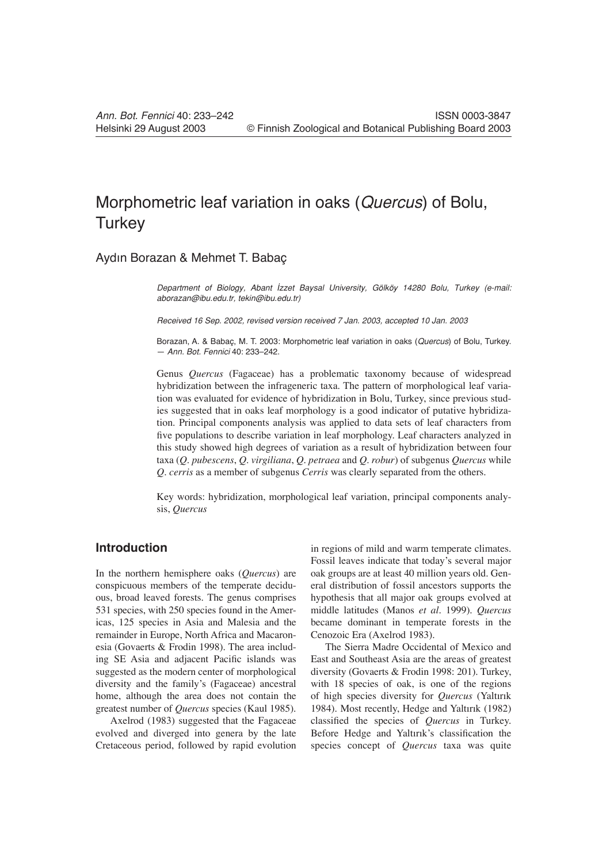# Morphometric leaf variation in oaks (*Quercus*) of Bolu, **Turkey**

## Aydın Borazan & Mehmet T. Babaç

*Department of Biology, Abant |zzet Baysal University, Gölköy 14280 Bolu, Turkey (e-mail: aborazan@ibu.edu.tr, tekin@ibu.edu.tr)*

*Received 16 Sep. 2002, revised version received 7 Jan. 2003, accepted 10 Jan. 2003*

Borazan, A. & Babaç, M. T. 2003: Morphometric leaf variation in oaks (*Quercus*) of Bolu, Turkey. — *Ann. Bot. Fennici* 40: 233–242.

Genus *Quercus* (Fagaceae) has a problematic taxonomy because of widespread hybridization between the infrageneric taxa. The pattern of morphological leaf variation was evaluated for evidence of hybridization in Bolu, Turkey, since previous studies suggested that in oaks leaf morphology is a good indicator of putative hybridization. Principal components analysis was applied to data sets of leaf characters from five populations to describe variation in leaf morphology. Leaf characters analyzed in this study showed high degrees of variation as a result of hybridization between four taxa (*Q. pubescens*, *Q. virgiliana*, *Q. petraea* and *Q. robur*) of subgenus *Quercus* while *Q. cerris* as a member of subgenus *Cerris* was clearly separated from the others.

Key words: hybridization, morphological leaf variation, principal components analysis, *Quercus*

## **Introduction**

In the northern hemisphere oaks (*Quercus*) are conspicuous members of the temperate deciduous, broad leaved forests. The genus comprises 531 species, with 250 species found in the Americas, 125 species in Asia and Malesia and the remainder in Europe, North Africa and Macaronesia (Govaerts & Frodin 1998). The area including SE Asia and adjacent Pacific islands was suggested as the modern center of morphological diversity and the family's (Fagaceae) ancestral home, although the area does not contain the greatest number of *Quercus* species (Kaul 1985).

Axelrod (1983) suggested that the Fagaceae evolved and diverged into genera by the late Cretaceous period, followed by rapid evolution

in regions of mild and warm temperate climates. Fossil leaves indicate that today's several major oak groups are at least 40 million years old. General distribution of fossil ancestors supports the hypothesis that all major oak groups evolved at middle latitudes (Manos *et al*. 1999). *Quercus* became dominant in temperate forests in the Cenozoic Era (Axelrod 1983).

The Sierra Madre Occidental of Mexico and East and Southeast Asia are the areas of greatest diversity (Govaerts & Frodin 1998: 201). Turkey, with 18 species of oak, is one of the regions of high species diversity for *Quercus* (Yaltırık 1984). Most recently, Hedge and Yaltırık (1982) classified the species of *Quercus* in Turkey. Before Hedge and Yaltırık's classification the species concept of *Quercus* taxa was quite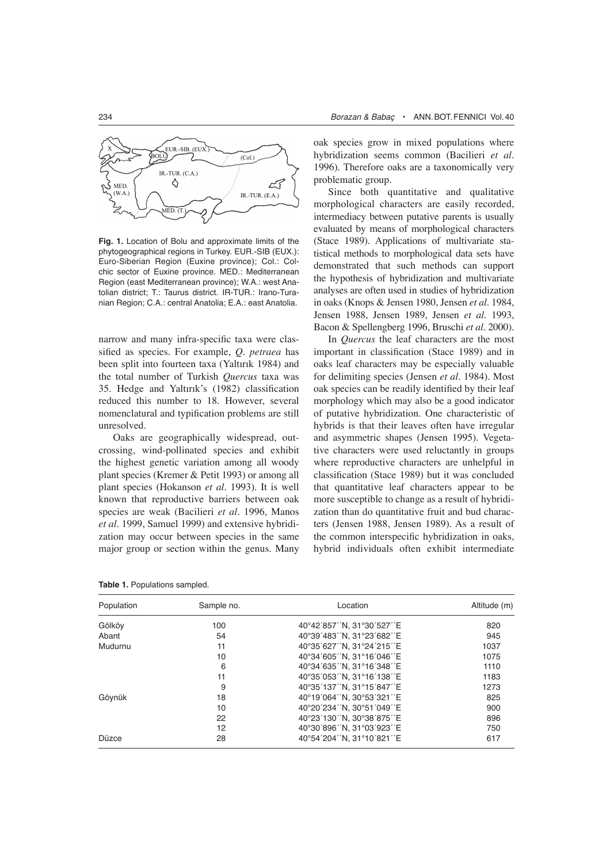

**Fig. 1.** Location of Bolu and approximate limits of the phytogeographical regions in Turkey. EUR.-SIB (EUX.): Euro-Siberian Region (Euxine province); Col.: Colchic sector of Euxine province. MED.: Mediterranean Region (east Mediterranean province); W.A.: west Anatolian district; T.: Taurus district. IR-TUR.: Irano-Turanian Region; C.A.: central Anatolia; E.A.: east Anatolia.

narrow and many infra-specific taxa were classified as species. For example, *Q. petraea* has been split into fourteen taxa (Yaltırık 1984) and the total number of Turkish *Quercus* taxa was 35. Hedge and Yaltırık's (1982) classification reduced this number to 18. However, several nomenclatural and typification problems are still unresolved.

Oaks are geographically widespread, outcrossing, wind-pollinated species and exhibit the highest genetic variation among all woody plant species (Kremer & Petit 1993) or among all plant species (Hokanson *et al.* 1993). It is well known that reproductive barriers between oak species are weak (Bacilieri *et al.* 1996, Manos *et al.* 1999, Samuel 1999) and extensive hybridization may occur between species in the same major group or section within the genus. Many oak species grow in mixed populations where hybridization seems common (Bacilieri *et al.* 1996). Therefore oaks are a taxonomically very problematic group.

Since both quantitative and qualitative morphological characters are easily recorded, intermediacy between putative parents is usually evaluated by means of morphological characters (Stace 1989). Applications of multivariate statistical methods to morphological data sets have demonstrated that such methods can support the hypothesis of hybridization and multivariate analyses are often used in studies of hybridization in oaks (Knops & Jensen 1980, Jensen *et al.* 1984, Jensen 1988, Jensen 1989, Jensen *et al.* 1993, Bacon & Spellengberg 1996, Bruschi *et al.* 2000).

In *Quercus* the leaf characters are the most important in classification (Stace 1989) and in oaks leaf characters may be especially valuable for delimiting species (Jensen *et al*. 1984). Most oak species can be readily identified by their leaf morphology which may also be a good indicator of putative hybridization. One characteristic of hybrids is that their leaves often have irregular and asymmetric shapes (Jensen 1995). Vegetative characters were used reluctantly in groups where reproductive characters are unhelpful in classification (Stace 1989) but it was concluded that quantitative leaf characters appear to be more susceptible to change as a result of hybridization than do quantitative fruit and bud characters (Jensen 1988, Jensen 1989). As a result of the common interspecific hybridization in oaks, hybrid individuals often exhibit intermediate

| Population | Sample no. | Location                   | Altitude (m) |  |
|------------|------------|----------------------------|--------------|--|
| Gölköv     | 100        | 40°42'857''N, 31°30'527''E | 820          |  |
| Abant      | 54         | 40°39′483′′N, 31°23′682′′E | 945          |  |
| Mudurnu    | 11         | 40°35'627''N, 31°24'215''E | 1037         |  |
|            | 10         | 40°34'605''N, 31°16'046''E | 1075         |  |
|            | 6          | 40°34'635''N, 31°16'348''E | 1110         |  |
|            | 11         | 40°35'053''N, 31°16'138''E | 1183         |  |
|            | 9          | 40°35'137''N, 31°15'847''E | 1273         |  |
| Göynük     | 18         | 40°19'064''N, 30°53'321''E | 825          |  |
|            | 10         | 40°20'234''N, 30°51'049''E | 900          |  |
|            | 22         | 40°23'130''N, 30°38'875''E | 896          |  |
|            | 12         | 40°30'896''N, 31°03'923''E | 750          |  |
| Düzce      | 28         | 40°54'204''N, 31°10'821''E | 617          |  |

**Table 1.** Populations sampled.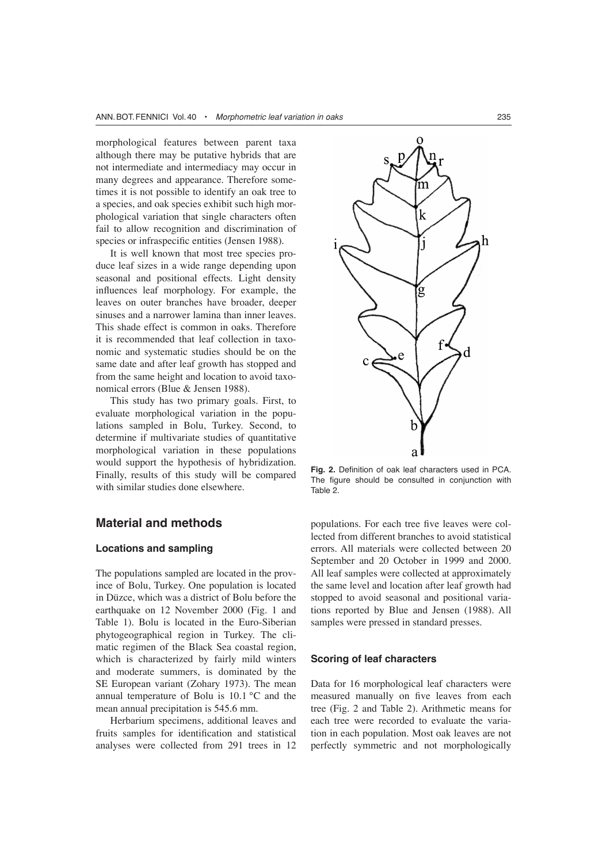morphological features between parent taxa although there may be putative hybrids that are not intermediate and intermediacy may occur in many degrees and appearance. Therefore sometimes it is not possible to identify an oak tree to a species, and oak species exhibit such high morphological variation that single characters often fail to allow recognition and discrimination of species or infraspecific entities (Jensen 1988).

It is well known that most tree species produce leaf sizes in a wide range depending upon seasonal and positional effects. Light density influences leaf morphology. For example, the leaves on outer branches have broader, deeper sinuses and a narrower lamina than inner leaves. This shade effect is common in oaks. Therefore it is recommended that leaf collection in taxonomic and systematic studies should be on the same date and after leaf growth has stopped and from the same height and location to avoid taxonomical errors (Blue & Jensen 1988).

This study has two primary goals. First, to evaluate morphological variation in the populations sampled in Bolu, Turkey. Second, to determine if multivariate studies of quantitative morphological variation in these populations would support the hypothesis of hybridization. Finally, results of this study will be compared with similar studies done elsewhere.

## **Material and methods**

#### **Locations and sampling**

The populations sampled are located in the province of Bolu, Turkey. One population is located in Düzce, which was a district of Bolu before the earthquake on 12 November 2000 (Fig. 1 and Table 1). Bolu is located in the Euro-Siberian phytogeographical region in Turkey. The climatic regimen of the Black Sea coastal region, which is characterized by fairly mild winters and moderate summers, is dominated by the SE European variant (Zohary 1973). The mean annual temperature of Bolu is 10.1 °C and the mean annual precipitation is 545.6 mm.

Herbarium specimens, additional leaves and fruits samples for identification and statistical analyses were collected from 291 trees in 12



Fig. 2. Definition of oak leaf characters used in PCA. The figure should be consulted in conjunction with Table 2.

populations. For each tree five leaves were collected from different branches to avoid statistical errors. All materials were collected between 20 September and 20 October in 1999 and 2000. All leaf samples were collected at approximately the same level and location after leaf growth had stopped to avoid seasonal and positional variations reported by Blue and Jensen (1988). All samples were pressed in standard presses.

#### **Scoring of leaf characters**

Data for 16 morphological leaf characters were measured manually on five leaves from each tree (Fig. 2 and Table 2). Arithmetic means for each tree were recorded to evaluate the variation in each population. Most oak leaves are not perfectly symmetric and not morphologically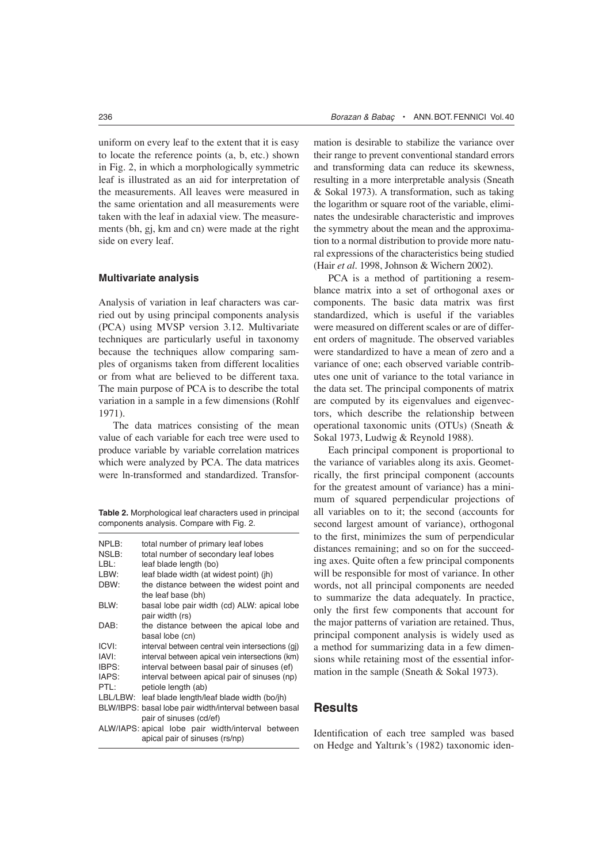uniform on every leaf to the extent that it is easy to locate the reference points (a, b, etc.) shown in Fig. 2, in which a morphologically symmetric leaf is illustrated as an aid for interpretation of the measurements. All leaves were measured in the same orientation and all measurements were taken with the leaf in adaxial view. The measurements (bh, gj, km and cn) were made at the right side on every leaf.

#### **Multivariate analysis**

Analysis of variation in leaf characters was carried out by using principal components analysis (PCA) using MVSP version 3.12. Multivariate techniques are particularly useful in taxonomy because the techniques allow comparing samples of organisms taken from different localities or from what are believed to be different taxa. The main purpose of PCA is to describe the total variation in a sample in a few dimensions (Rohlf 1971).

The data matrices consisting of the mean value of each variable for each tree were used to produce variable by variable correlation matrices which were analyzed by PCA. The data matrices were ln-transformed and standardized. Transfor-

**Table 2.** Morphological leaf characters used in principal components analysis. Compare with Fig. 2.

| NPLB:<br>NSLB:                                         | total number of primary leaf lobes<br>total number of secondary leaf lobes |  |  |  |  |  |  |  |
|--------------------------------------------------------|----------------------------------------------------------------------------|--|--|--|--|--|--|--|
| LBL:                                                   | leaf blade length (bo)                                                     |  |  |  |  |  |  |  |
| LBW:                                                   | leaf blade width (at widest point) (ih)                                    |  |  |  |  |  |  |  |
| DBW:                                                   | the distance between the widest point and<br>the leaf base (bh)            |  |  |  |  |  |  |  |
| BLW:                                                   | basal lobe pair width (cd) ALW: apical lobe<br>pair width (rs)             |  |  |  |  |  |  |  |
| DAB:                                                   | the distance between the apical lobe and<br>basal lobe (cn)                |  |  |  |  |  |  |  |
| ICVI:                                                  | interval between central vein intersections (gj)                           |  |  |  |  |  |  |  |
| IAVI:                                                  | interval between apical vein intersections (km)                            |  |  |  |  |  |  |  |
| IBPS:                                                  | interval between basal pair of sinuses (ef)                                |  |  |  |  |  |  |  |
| IAPS:                                                  | interval between apical pair of sinuses (np)                               |  |  |  |  |  |  |  |
| PTL:                                                   | petiole length (ab)                                                        |  |  |  |  |  |  |  |
| LBL/LBW:                                               | leaf blade length/leaf blade width (bo/jh)                                 |  |  |  |  |  |  |  |
| BLW/IBPS: basal lobe pair width/interval between basal |                                                                            |  |  |  |  |  |  |  |
|                                                        | pair of sinuses (cd/ef)                                                    |  |  |  |  |  |  |  |
|                                                        | ALW/IAPS: apical lobe pair width/interval between                          |  |  |  |  |  |  |  |

apical pair of sinuses (rs/np)

mation is desirable to stabilize the variance over their range to prevent conventional standard errors and transforming data can reduce its skewness, resulting in a more interpretable analysis (Sneath & Sokal 1973). A transformation, such as taking the logarithm or square root of the variable, eliminates the undesirable characteristic and improves the symmetry about the mean and the approximation to a normal distribution to provide more natural expressions of the characteristics being studied (Hair *et al*. 1998, Johnson & Wichern 2002).

PCA is a method of partitioning a resemblance matrix into a set of orthogonal axes or components. The basic data matrix was first standardized, which is useful if the variables were measured on different scales or are of different orders of magnitude. The observed variables were standardized to have a mean of zero and a variance of one; each observed variable contributes one unit of variance to the total variance in the data set. The principal components of matrix are computed by its eigenvalues and eigenvectors, which describe the relationship between operational taxonomic units (OTUs) (Sneath & Sokal 1973, Ludwig & Reynold 1988).

Each principal component is proportional to the variance of variables along its axis. Geometrically, the first principal component (accounts for the greatest amount of variance) has a minimum of squared perpendicular projections of all variables on to it; the second (accounts for second largest amount of variance), orthogonal to the first, minimizes the sum of perpendicular distances remaining; and so on for the succeeding axes. Quite often a few principal components will be responsible for most of variance. In other words, not all principal components are needed to summarize the data adequately. In practice, only the first few components that account for the major patterns of variation are retained. Thus, principal component analysis is widely used as a method for summarizing data in a few dimensions while retaining most of the essential information in the sample (Sneath & Sokal 1973).

## **Results**

Identification of each tree sampled was based on Hedge and Yaltırık's (1982) taxonomic iden-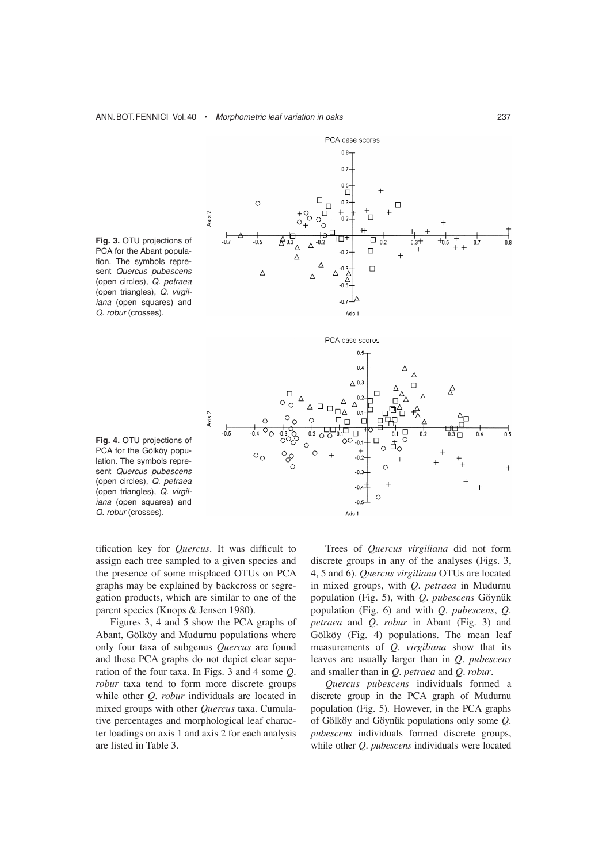

**Fig. 3.** OTU projections of PCA for the Abant population. The symbols represent *Quercus pubescens* (open circles), *Q. petraea* (open triangles), *Q. virgiliana* (open squares) and *Q. robur* (crosses).

**Fig. 4.** OTU projections of PCA for the Gölköy population. The symbols represent *Quercus pubescens* (open circles), *Q. petraea* (open triangles), *Q. virgiliana* (open squares) and *Q. robur* (crosses).

tification key for *Quercus*. It was difficult to assign each tree sampled to a given species and the presence of some misplaced OTUs on PCA graphs may be explained by backcross or segregation products, which are similar to one of the parent species (Knops & Jensen 1980).

Figures 3, 4 and 5 show the PCA graphs of Abant, Gölköy and Mudurnu populations where only four taxa of subgenus *Quercus* are found and these PCA graphs do not depict clear separation of the four taxa. In Figs. 3 and 4 some *Q. robur* taxa tend to form more discrete groups while other *Q. robur* individuals are located in mixed groups with other *Quercus* taxa. Cumulative percentages and morphological leaf character loadings on axis 1 and axis 2 for each analysis are listed in Table 3.

Trees of *Quercus virgiliana* did not form discrete groups in any of the analyses (Figs. 3, 4, 5 and 6). *Quercus virgiliana* OTUs are located in mixed groups, with *Q. petraea* in Mudurnu population (Fig. 5), with *Q. pubescens* Göynük population (Fig. 6) and with *Q. pubescens*, *Q. petraea* and *Q. robur* in Abant (Fig. 3) and Gölköy (Fig. 4) populations. The mean leaf measurements of *Q. virgiliana* show that its leaves are usually larger than in *Q. pubescens* and smaller than in *Q. petraea* and *Q. robur*.

*Quercus pubescens* individuals formed a discrete group in the PCA graph of Mudurnu population (Fig. 5). However, in the PCA graphs of Gölköy and Göynük populations only some *Q. pubescens* individuals formed discrete groups, while other *Q. pubescens* individuals were located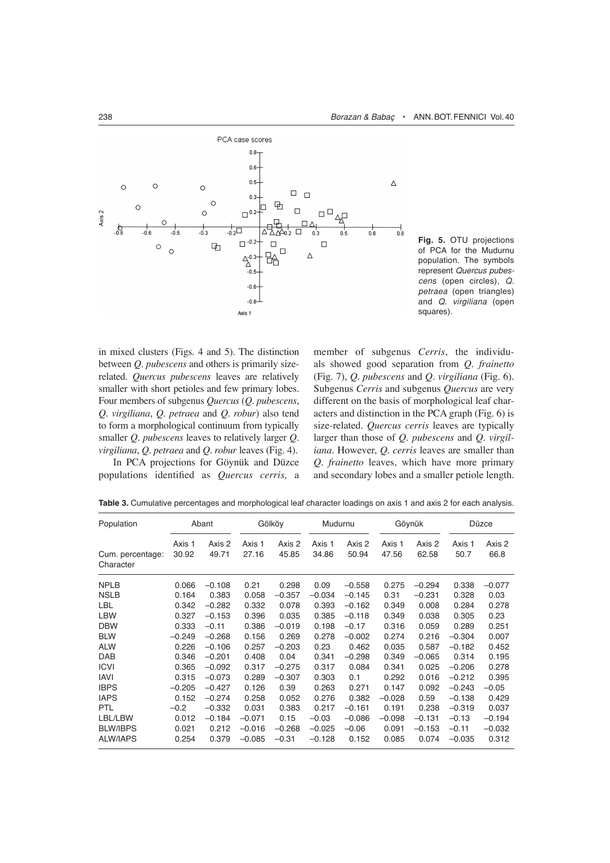

**Fig. 5.** OTU projections of PCA for the Mudurnu population. The symbols represent *Quercus pubescens* (open circles), *Q. petraea* (open triangles) and *Q. virgiliana* (open squares).

in mixed clusters (Figs. 4 and 5). The distinction between *Q. pubescens* and others is primarily sizerelated. *Quercus pubescens* leaves are relatively smaller with short petioles and few primary lobes. Four members of subgenus *Quercus* (*Q. pubescens*, *Q. virgiliana*, *Q. petraea* and *Q. robur*) also tend to form a morphological continuum from typically smaller *Q. pubescens* leaves to relatively larger *Q. virgiliana*, *Q. petraea* and *Q. robur* leaves (Fig. 4).

In PCA projections for Göynük and Düzce populations identified as *Quercus cerris*, a member of subgenus *Cerris*, the individuals showed good separation from *Q. frainetto* (Fig. 7), *Q. pubescens* and *Q. virgiliana* (Fig. 6). Subgenus *Cerris* and subgenus *Quercus* are very different on the basis of morphological leaf characters and distinction in the PCA graph (Fig. 6) is size-related. *Quercus cerris* leaves are typically larger than those of *Q. pubescens* and *Q. virgiliana*. However, *Q. cerris* leaves are smaller than *Q. frainetto* leaves, which have more primary and secondary lobes and a smaller petiole length.

| Population                    | Abant           |                 | Gölköy          |                 | Mudurnu         |                 | Göynük          |                 | Düzce          |                |
|-------------------------------|-----------------|-----------------|-----------------|-----------------|-----------------|-----------------|-----------------|-----------------|----------------|----------------|
| Cum. percentage:<br>Character | Axis 1<br>30.92 | Axis 2<br>49.71 | Axis 1<br>27.16 | Axis 2<br>45.85 | Axis 1<br>34.86 | Axis 2<br>50.94 | Axis 1<br>47.56 | Axis 2<br>62.58 | Axis 1<br>50.7 | Axis 2<br>66.8 |
| <b>NPLB</b>                   | 0.066           | $-0.108$        | 0.21            | 0.298           | 0.09            | $-0.558$        | 0.275           | $-0.294$        | 0.338          | $-0.077$       |
| <b>NSLB</b>                   | 0.164           | 0.383           | 0.058           | $-0.357$        | $-0.034$        | $-0.145$        | 0.31            | $-0.231$        | 0.328          | 0.03           |
| <b>LBL</b>                    | 0.342           | $-0.282$        | 0.332           | 0.078           | 0.393           | $-0.162$        | 0.349           | 0.008           | 0.284          | 0.278          |
| <b>LBW</b>                    | 0.327           | $-0.153$        | 0.396           | 0.035           | 0.385           | $-0.118$        | 0.349           | 0.038           | 0.305          | 0.23           |
| <b>DBW</b>                    | 0.333           | $-0.11$         | 0.386           | $-0.019$        | 0.198           | $-0.17$         | 0.316           | 0.059           | 0.289          | 0.251          |
| <b>BLW</b>                    | $-0.249$        | $-0.268$        | 0.156           | 0.269           | 0.278           | $-0.002$        | 0.274           | 0.216           | $-0.304$       | 0.007          |
| <b>ALW</b>                    | 0.226           | $-0.106$        | 0.257           | $-0.203$        | 0.23            | 0.462           | 0.035           | 0.587           | $-0.182$       | 0.452          |
| <b>DAB</b>                    | 0.346           | $-0.201$        | 0.408           | 0.04            | 0.341           | $-0.298$        | 0.349           | $-0.065$        | 0.314          | 0.195          |
| <b>ICVI</b>                   | 0.365           | $-0.092$        | 0.317           | $-0.275$        | 0.317           | 0.084           | 0.341           | 0.025           | $-0.206$       | 0.278          |
| <b>IAVI</b>                   | 0.315           | $-0.073$        | 0.289           | $-0.307$        | 0.303           | 0.1             | 0.292           | 0.016           | $-0.212$       | 0.395          |
| <b>IBPS</b>                   | $-0.205$        | $-0.427$        | 0.126           | 0.39            | 0.263           | 0.271           | 0.147           | 0.092           | $-0.243$       | $-0.05$        |
| <b>IAPS</b>                   | 0.152           | $-0.274$        | 0.258           | 0.052           | 0.276           | 0.382           | $-0.028$        | 0.59            | $-0.138$       | 0.429          |
| <b>PTL</b>                    | $-0.2$          | $-0.332$        | 0.031           | 0.383           | 0.217           | $-0.161$        | 0.191           | 0.238           | $-0.319$       | 0.037          |
| LBL/LBW                       | 0.012           | $-0.184$        | $-0.071$        | 0.15            | $-0.03$         | $-0.086$        | $-0.098$        | $-0.131$        | $-0.13$        | $-0.194$       |
| <b>BLW/IBPS</b>               | 0.021           | 0.212           | $-0.016$        | $-0.268$        | $-0.025$        | $-0.06$         | 0.091           | $-0.153$        | $-0.11$        | $-0.032$       |
| <b>ALW/IAPS</b>               | 0.254           | 0.379           | $-0.085$        | -0.31           | $-0.128$        | 0.152           | 0.085           | 0.074           | $-0.035$       | 0.312          |

**Table 3.** Cumulative percentages and morphological leaf character loadings on axis 1 and axis 2 for each analysis.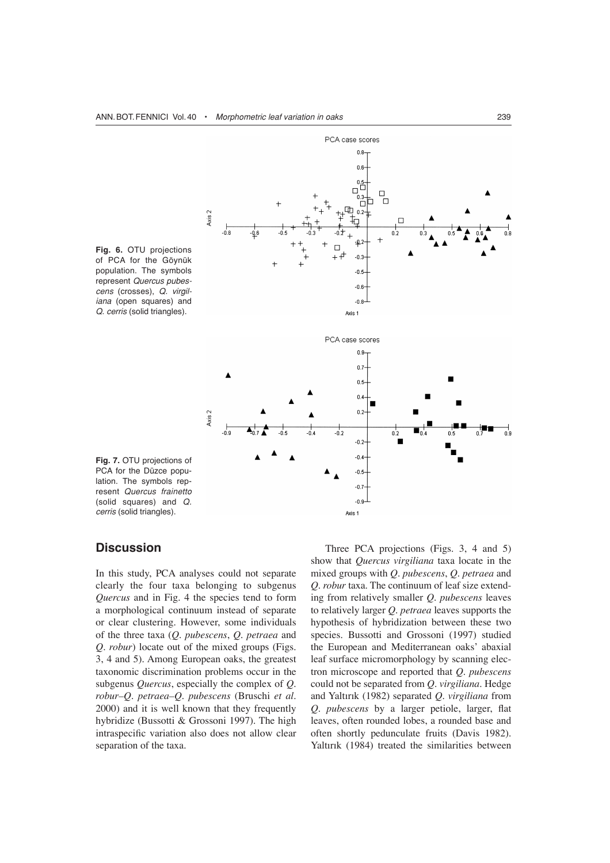

**Fig. 6.** OTU projections of PCA for the Göynük population. The symbols represent *Quercus pubescens* (crosses), *Q. virgiliana* (open squares) and *Q. cerris* (solid triangles).

**Fig. 7.** OTU projections of PCA for the Düzce population. The symbols represent *Quercus frainetto* (solid squares) and *Q. cerris* (solid triangles).

### **Discussion**

In this study, PCA analyses could not separate clearly the four taxa belonging to subgenus *Quercus* and in Fig. 4 the species tend to form a morphological continuum instead of separate or clear clustering. However, some individuals of the three taxa (*Q. pubescens*, *Q. petraea* and *Q. robur*) locate out of the mixed groups (Figs. 3, 4 and 5). Among European oaks, the greatest taxonomic discrimination problems occur in the subgenus *Quercus*, especially the complex of *Q. robur–Q. petraea–Q. pubescens* (Bruschi *et al.* 2000) and it is well known that they frequently hybridize (Bussotti & Grossoni 1997). The high intraspecific variation also does not allow clear separation of the taxa.

Three PCA projections (Figs. 3, 4 and 5) show that *Quercus virgiliana* taxa locate in the mixed groups with *Q. pubescens*, *Q. petraea* and *Q. robur* taxa. The continuum of leaf size extending from relatively smaller *Q. pubescens* leaves to relatively larger *Q. petraea* leaves supports the hypothesis of hybridization between these two species. Bussotti and Grossoni (1997) studied the European and Mediterranean oaks' abaxial leaf surface micromorphology by scanning electron microscope and reported that *Q. pubescens* could not be separated from *Q. virgiliana*. Hedge and Yaltırık (1982) separated *Q. virgiliana* from *Q. pubescens* by a larger petiole, larger, flat leaves, often rounded lobes, a rounded base and often shortly pedunculate fruits (Davis 1982). Yaltırık (1984) treated the similarities between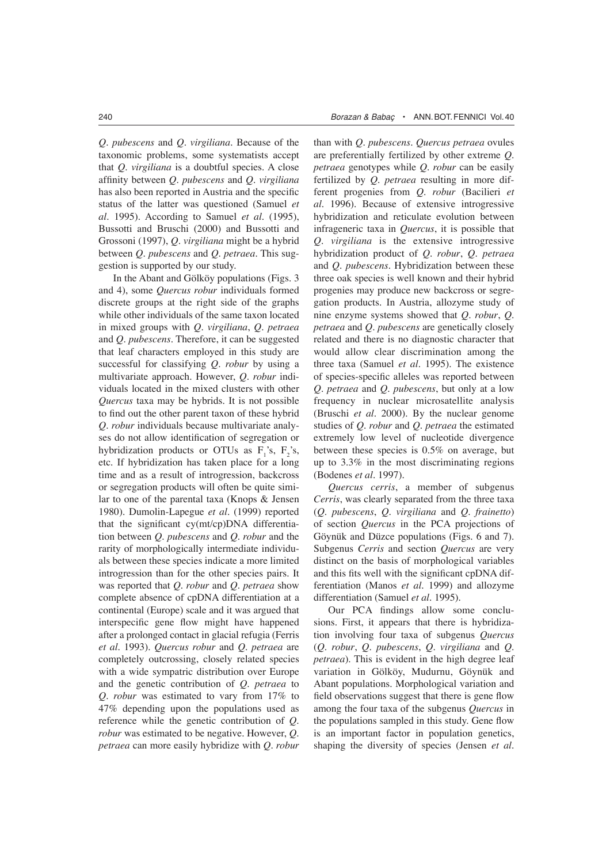*Q. pubescens* and *Q. virgiliana*. Because of the taxonomic problems, some systematists accept that *Q. virgiliana* is a doubtful species. A close affinity between *Q. pubescens* and *Q. virgiliana* has also been reported in Austria and the specific status of the latter was questioned (Samuel *et al*. 1995). According to Samuel *et al.* (1995), Bussotti and Bruschi (2000) and Bussotti and Grossoni (1997), *Q. virgiliana* might be a hybrid between *Q. pubescens* and *Q. petraea*. This suggestion is supported by our study.

In the Abant and Gölköy populations (Figs. 3 and 4), some *Quercus robur* individuals formed discrete groups at the right side of the graphs while other individuals of the same taxon located in mixed groups with *Q. virgiliana*, *Q. petraea* and *Q. pubescens*. Therefore, it can be suggested that leaf characters employed in this study are successful for classifying *Q. robur* by using a multivariate approach. However, *Q. robur* individuals located in the mixed clusters with other *Quercus* taxa may be hybrids. It is not possible to find out the other parent taxon of these hybrid *Q. robur* individuals because multivariate analyses do not allow identification of segregation or hybridization products or OTUs as  $F_1$ 's,  $F_2$ 's, etc. If hybridization has taken place for a long time and as a result of introgression, backcross or segregation products will often be quite similar to one of the parental taxa (Knops & Jensen 1980). Dumolin-Lapegue *et al*. (1999) reported that the significant  $cy(mt/cp)DNA$  differentiation between *Q. pubescens* and *Q. robur* and the rarity of morphologically intermediate individuals between these species indicate a more limited introgression than for the other species pairs. It was reported that *Q. robur* and *Q. petraea* show complete absence of cpDNA differentiation at a continental (Europe) scale and it was argued that interspecific gene flow might have happened after a prolonged contact in glacial refugia (Ferris *et al.* 1993). *Quercus robur* and *Q. petraea* are completely outcrossing, closely related species with a wide sympatric distribution over Europe and the genetic contribution of *Q. petraea* to *Q. robur* was estimated to vary from 17% to 47% depending upon the populations used as reference while the genetic contribution of *Q. robur* was estimated to be negative. However, *Q. petraea* can more easily hybridize with *Q. robur*

than with *Q. pubescens*. *Quercus petraea* ovules are preferentially fertilized by other extreme *Q. petraea* genotypes while *Q. robur* can be easily fertilized by *Q. petraea* resulting in more different progenies from *Q. robur* (Bacilieri *et al.* 1996). Because of extensive introgressive hybridization and reticulate evolution between infrageneric taxa in *Quercus*, it is possible that *Q. virgiliana* is the extensive introgressive hybridization product of *Q. robur*, *Q. petraea* and *Q. pubescens*. Hybridization between these three oak species is well known and their hybrid progenies may produce new backcross or segregation products. In Austria, allozyme study of nine enzyme systems showed that *Q. robur*, *Q. petraea* and *Q. pubescens* are genetically closely related and there is no diagnostic character that would allow clear discrimination among the three taxa (Samuel *et al.* 1995). The existence of species-specific alleles was reported between *Q. petraea* and *Q. pubescens*, but only at a low frequency in nuclear microsatellite analysis (Bruschi *et al.* 2000). By the nuclear genome studies of *Q. robur* and *Q. petraea* the estimated extremely low level of nucleotide divergence between these species is 0.5% on average, but up to 3.3% in the most discriminating regions (Bodenes *et al.* 1997).

*Quercus cerris*, a member of subgenus *Cerris*, was clearly separated from the three taxa (*Q. pubescens*, *Q. virgiliana* and *Q. frainetto*) of section *Quercus* in the PCA projections of Göynük and Düzce populations (Figs. 6 and 7). Subgenus *Cerris* and section *Quercus* are very distinct on the basis of morphological variables and this fits well with the significant cpDNA differentiation (Manos *et al.* 1999) and allozyme differentiation (Samuel *et al.* 1995).

Our PCA findings allow some conclusions. First, it appears that there is hybridization involving four taxa of subgenus *Quercus* (*Q. robur*, *Q. pubescens*, *Q. virgiliana* and *Q. petraea*). This is evident in the high degree leaf variation in Gölköy, Mudurnu, Göynük and Abant populations. Morphological variation and field observations suggest that there is gene flow among the four taxa of the subgenus *Quercus* in the populations sampled in this study. Gene flow is an important factor in population genetics, shaping the diversity of species (Jensen *et al.*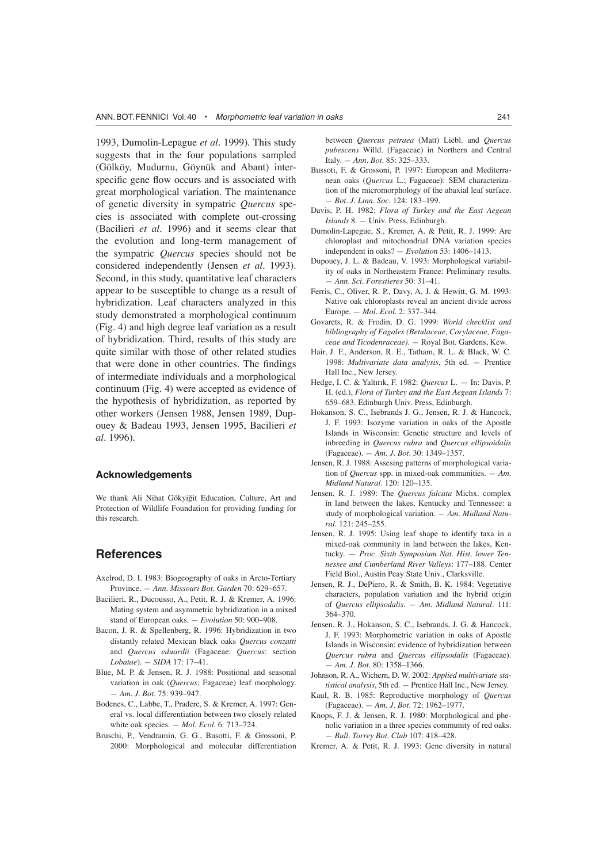1993, Dumolin-Lepague *et al.* 1999). This study suggests that in the four populations sampled (Gölköy, Mudurnu, Göynük and Abant) interspecific gene flow occurs and is associated with great morphological variation. The maintenance of genetic diversity in sympatric *Quercus* species is associated with complete out-crossing (Bacilieri *et al.* 1996) and it seems clear that the evolution and long-term management of the sympatric *Quercus* species should not be considered independently (Jensen *et al.* 1993). Second, in this study, quantitative leaf characters appear to be susceptible to change as a result of hybridization. Leaf characters analyzed in this study demonstrated a morphological continuum (Fig. 4) and high degree leaf variation as a result of hybridization. Third, results of this study are quite similar with those of other related studies that were done in other countries. The findings of intermediate individuals and a morphological continuum (Fig. 4) were accepted as evidence of the hypothesis of hybridization, as reported by other workers (Jensen 1988, Jensen 1989, Dupouey & Badeau 1993, Jensen 1995, Bacilieri *et al.* 1996).

#### **Acknowledgements**

We thank Ali Nihat Gökyiğit Education, Culture, Art and Protection of Wildlife Foundation for providing funding for this research.

## **References**

- Axelrod, D. I. 1983: Biogeography of oaks in Arcto-Tertiary Province. *— Ann. Missouri Bot. Garden* 70: 629–657.
- Bacilieri, R., Ducousso, A., Petit, R. J. & Kremer, A. 1996: Mating system and asymmetric hybridization in a mixed stand of European oaks. *— Evolution* 50: 900–908.
- Bacon, J. R. & Spellenberg, R. 1996: Hybridization in two distantly related Mexican black oaks *Quercus conzatti* and *Quercus eduardii* (Fagaceae: *Quercus*: section *Lobatae*). *— SIDA* 17: 17*–*41.
- Blue, M. P. & Jensen, R. J. 1988: Positional and seasonal variation in oak (*Quercus*; Fagaceae) leaf morphology. *— Am. J. Bot.* 75: 939–947.
- Bodenes, C., Labbe, T., Pradere, S. & Kremer, A. 1997: General vs. local differentiation between two closely related white oak species. *— Mol. Ecol.* 6: 713*–*724.
- Bruschi, P., Vendramin, G. G., Busotti, F. & Grossoni, P. 2000: Morphological and molecular differentiation

between *Quercus petraea* (Matt) Liebl. and *Quercus pubescens* Willd. (Fagaceae) in Northern and Central Italy. *— Ann. Bot.* 85: 325*–*333.

- Bussoti, F. & Grossoni, P. 1997: European and Mediterranean oaks (*Quercus* L.; Fagaceae): SEM characterization of the micromorphology of the abaxial leaf surface. *— Bot. J. Linn. Soc.* 124: 183*–*199.
- Davis, P. H. 1982: *Flora of Turkey and the East Aegean Islands* 8. *—* Univ. Press, Edinburgh.
- Dumolin-Lapegue, S., Kremer, A. & Petit, R. J. 1999: Are chloroplast and mitochondrial DNA variation species independent in oaks? *— Evolution* 53: 1406*–*1413.
- Dupouey, J. L. & Badeau, V. 1993: Morphological variability of oaks in Northeastern France: Preliminary results. *— Ann. Sci. Forestieres* 50: 31*–*41.
- Ferris, C., Oliver, R. P., Davy, A. J. & Hewitt, G. M. 1993: Native oak chloroplasts reveal an ancient divide across Europe. *— Mol. Ecol.* 2: 337*–*344.
- Govarets, R. & Frodin, D. G. 1999: *World checklist and bibliography of Fagales (Betulaceae, Corylaceae, Fagaceae and Ticodenraceae)*. *—* Royal Bot. Gardens, Kew.
- Hair, J. F., Anderson, R. E., Tatham, R. L. & Black, W. C. 1998: *Multivariate data analysis*, 5th ed. *—* Prentice Hall Inc., New Jersey.
- Hedge, I. C. & Yaltırık, F. 1982: *Quercus* L. In: Davis, P. H. (ed.), *Flora of Turkey and the East Aegean Islands* 7: 659*–*683. Edinburgh Univ. Press, Edinburgh.
- Hokanson, S. C., Isebrands J. G., Jensen, R. J. & Hancock, J. F. 1993: Isozyme variation in oaks of the Apostle Islands in Wisconsin: Genetic structure and levels of inbreeding in *Quercus rubra* and *Quercus ellipsoidalis* (Fagaceae). *— Am. J. Bot.* 30: 1349*–*1357.
- Jensen, R. J. 1988: Assesing patterns of morphological variation of *Quercus* spp. in mixed-oak communities. *— Am. Midland Natural.* 120: 120*–*135.
- Jensen, R. J. 1989: The *Quercus falcata* Michx. complex in land between the lakes, Kentucky and Tennessee: a study of morphological variation. *— Am. Midland Natural.* 121: 245*–*255.
- Jensen, R. J. 1995: Using leaf shape to identify taxa in a mixed-oak community in land between the lakes, Kentucky. — *Proc. Sixth Symposium Nat. Hist. lower Tennessee and Cumberland River Valleys*: 177–188. Center Field Biol., Austin Peay State Univ., Clarksville.
- Jensen, R. J., DePiero, R. & Smith, B. K. 1984: Vegetative characters, population variation and the hybrid origin of *Quercus ellipsodalis*. *— Am. Midland Natural.* 111: 364*–*370.
- Jensen, R. J., Hokanson, S. C., Isebrands, J. G. & Hancock, J. F. 1993: Morphometric variation in oaks of Apostle Islands in Wisconsin: evidence of hybridization between *Quercus rubra* and *Quercus ellipsodalis* (Fagaceae). *— Am. J. Bot.* 80: 1358*–*1366.
- Johnson, R. A., Wichern, D. W. 2002: *Applied multivariate statistical analysis*, 5th ed. *—* Prentice Hall Inc., New Jersey.
- Kaul, R. B. 1985: Reproductive morphology of *Quercus* (Fagaceae). *— Am. J. Bot.* 72: 1962*–*1977.
- Knops, F. J. & Jensen, R. J. 1980: Morphological and phenolic variation in a three species community of red oaks. *— Bull. Torrey Bot. Club* 107: 418*–*428.
- Kremer, A. & Petit, R. J. 1993: Gene diversity in natural